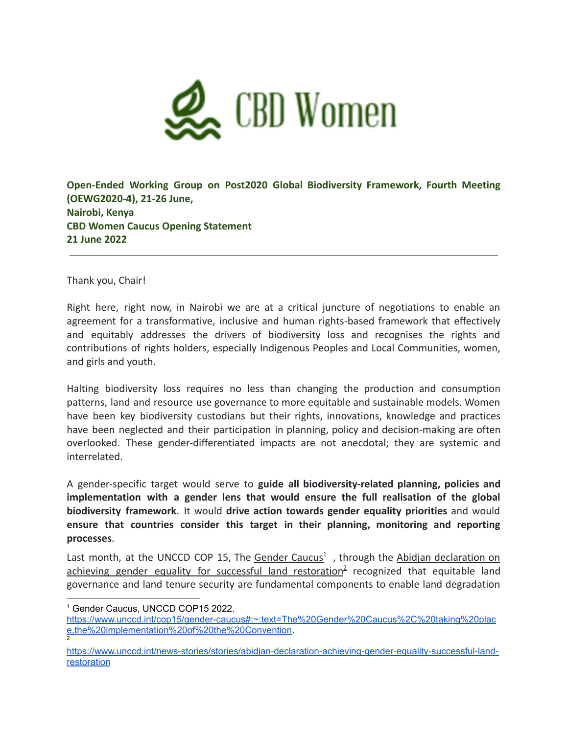

## **Open-Ended Working Group on Post2020 Global Biodiversity Framework, Fourth Meeting (OEWG2020-4), 21-26 June, Nairobi, Kenya CBD Women Caucus Opening Statement 21 June 2022**

Thank you, Chair!

Right here, right now, in Nairobi we are at a critical juncture of negotiations to enable an agreement for a transformative, inclusive and human rights-based framework that effectively and equitably addresses the drivers of biodiversity loss and recognises the rights and contributions of rights holders, especially Indigenous Peoples and Local Communities, women, and girls and youth.

Halting biodiversity loss requires no less than changing the production and consumption patterns, land and resource use governance to more equitable and sustainable models. Women have been key biodiversity custodians but their rights, innovations, knowledge and practices have been neglected and their participation in planning, policy and decision-making are often overlooked. These gender-differentiated impacts are not anecdotal; they are systemic and interrelated.

A gender-specific target would serve to **guide all biodiversity-related planning, policies and implementation with a gender lens that would ensure the full realisation of the global biodiversity framework**. It would **drive action towards gender equality priorities** and would **ensure that countries consider this target in their planning, monitoring and reporting processes**.

Last month, at the UNCCD COP 15, The [Gender](https://www.unccd.int/cop15/gender-caucus#:~:text=The%20Gender%20Caucus%2C%20taking%20place,the%20implementation%20of%20the%20Convention.) Caucus<sup>1</sup>, through the Abidjan [declaration](https://www.unccd.int/news-stories/stories/abidjan-declaration-achieving-gender-equality-successful-land-restoration) on achieving gender equality for successful land [restoration](https://www.unccd.int/news-stories/stories/abidjan-declaration-achieving-gender-equality-successful-land-restoration)<sup>2</sup> recognized that equitable land governance and land tenure security are fundamental components to enable land degradation

<sup>1</sup> Gender Caucus, UNCCD COP15 2022.

<sup>2</sup> [https://www.unccd.int/cop15/gender-caucus#:~:text=The%20Gender%20Caucus%2C%20taking%20plac](https://www.unccd.int/cop15/gender-caucus#:~:text=The%20Gender%20Caucus%2C%20taking%20place,the%20implementation%20of%20the%20Convention) [e,the%20implementation%20of%20the%20Convention.](https://www.unccd.int/cop15/gender-caucus#:~:text=The%20Gender%20Caucus%2C%20taking%20place,the%20implementation%20of%20the%20Convention)

[https://www.unccd.int/news-stories/stories/abidjan-declaration-achieving-gender-equality-successful-land](https://www.unccd.int/news-stories/stories/abidjan-declaration-achieving-gender-equality-successful-land-restoration)[restoration](https://www.unccd.int/news-stories/stories/abidjan-declaration-achieving-gender-equality-successful-land-restoration)